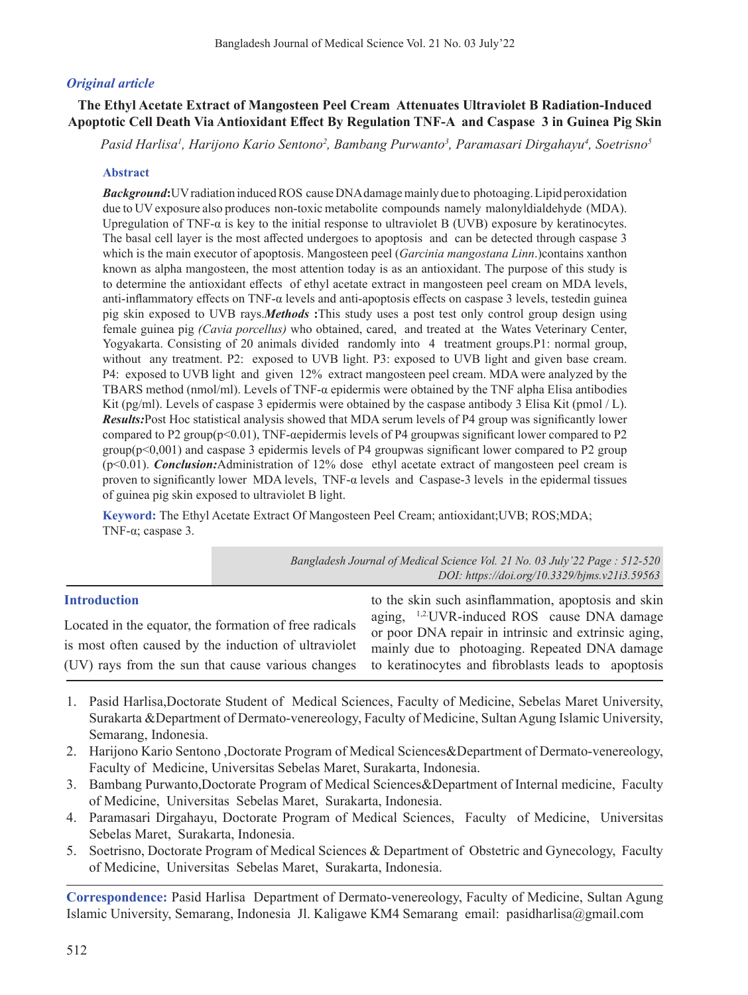# *Original article*

# **The Ethyl Acetate Extract of Mangosteen Peel Cream Attenuates Ultraviolet B Radiation-Induced Apoptotic Cell Death Via Antioxidant Effect By Regulation TNF-Α and Caspase 3 in Guinea Pig Skin**

*Pasid Harlisa1 , Harijono Kario Sentono2 , Bambang Purwanto3 , Paramasari Dirgahayu4 , Soetrisno5*

#### **Abstract**

*Background***:**UVradiation inducedROS causeDNAdamagemainly due to photoaging.Lipid peroxidation due to UV exposure also produces non-toxic metabolite compounds namely malonyldialdehyde (MDA). Upregulation of TNF-α is key to the initial response to ultraviolet B (UVB) exposure by keratinocytes. The basal cell layer is the most affected undergoes to apoptosis and can be detected through caspase 3 which is the main executor of apoptosis. Mangosteen peel (*Garcinia mangostana Linn*.)contains xanthon known as alpha mangosteen, the most attention today is as an antioxidant. The purpose of this study is to determine the antioxidant effects of ethyl acetate extract in mangosteen peel cream on MDA levels, anti-inflammatory effects on TNF-α levels and anti-apoptosis effects on caspase 3 levels, testedin guinea pig skin exposed to UVB rays.*Methods* **:**This study uses a post test only control group design using female guinea pig *(Cavia porcellus)* who obtained, cared, and treated at the Wates Veterinary Center, Yogyakarta. Consisting of 20 animals divided randomly into 4 treatment groups.P1: normal group, without any treatment. P2: exposed to UVB light. P3: exposed to UVB light and given base cream. P4: exposed to UVB light and given 12% extract mangosteen peel cream. MDA were analyzed by the TBARS method (nmol/ml). Levels of TNF-α epidermis were obtained by the TNF alpha Elisa antibodies Kit (pg/ml). Levels of caspase 3 epidermis were obtained by the caspase antibody 3 Elisa Kit (pmol  $/$  L). *Results:*Post Hoc statistical analysis showed that MDA serum levels of P4 group was significantly lower compared to P2 group(p<0.01), TNF-αepidermis levels of P4 groupwas significant lower compared to P2 group(p<0,001) and caspase 3 epidermis levels of P4 groupwas significant lower compared to P2 group (p<0.01). *Conclusion:*Administration of 12% dose ethyl acetate extract of mangosteen peel cream is proven to significantly lower MDA levels, TNF-α levels and Caspase-3 levels in the epidermal tissues of guinea pig skin exposed to ultraviolet B light.

**Keyword:** The Ethyl Acetate Extract Of Mangosteen Peel Cream; antioxidant;UVB; ROS;MDA; TNF-α; caspase 3.

|                                                        | Bangladesh Journal of Medical Science Vol. 21 No. 03 July '22 Page : 512-520<br>DOI: https://doi.org/10.3329/bjms.v21i3.59563 |
|--------------------------------------------------------|-------------------------------------------------------------------------------------------------------------------------------|
| <b>Introduction</b>                                    | to the skin such asinflammation, apoptosis and skin                                                                           |
| Located in the equator, the formation of free radicals | aging, <sup>1,2</sup> UVR-induced ROS cause DNA damage<br>or poor DNA repair in intrinsic and extrinsic aging,                |
| is most often caused by the induction of ultraviolet   | mainly due to photoaging. Repeated DNA damage                                                                                 |
| (UV) rays from the sun that cause various changes      | to keratinocytes and fibroblasts leads to apoptosis                                                                           |

- 1. Pasid Harlisa,Doctorate Student of Medical Sciences, Faculty of Medicine, Sebelas Maret University, Surakarta &Department of Dermato-venereology, Faculty of Medicine, Sultan Agung Islamic University, Semarang, Indonesia.
- 2. Harijono Kario Sentono ,Doctorate Program of Medical Sciences&Department of Dermato-venereology, Faculty of Medicine, Universitas Sebelas Maret, Surakarta, Indonesia.
- 3. Bambang Purwanto,Doctorate Program of Medical Sciences&Department of Internal medicine, Faculty of Medicine, Universitas Sebelas Maret, Surakarta, Indonesia.
- 4. Paramasari Dirgahayu, Doctorate Program of Medical Sciences, Faculty of Medicine, Universitas Sebelas Maret, Surakarta, Indonesia.
- 5. Soetrisno, Doctorate Program of Medical Sciences & Department of Obstetric and Gynecology, Faculty of Medicine, Universitas Sebelas Maret, Surakarta, Indonesia.

**Correspondence:** Pasid Harlisa Department of Dermato-venereology, Faculty of Medicine, Sultan Agung Islamic University, Semarang, Indonesia Jl. Kaligawe KM4 Semarang email: pasidharlisa@gmail.com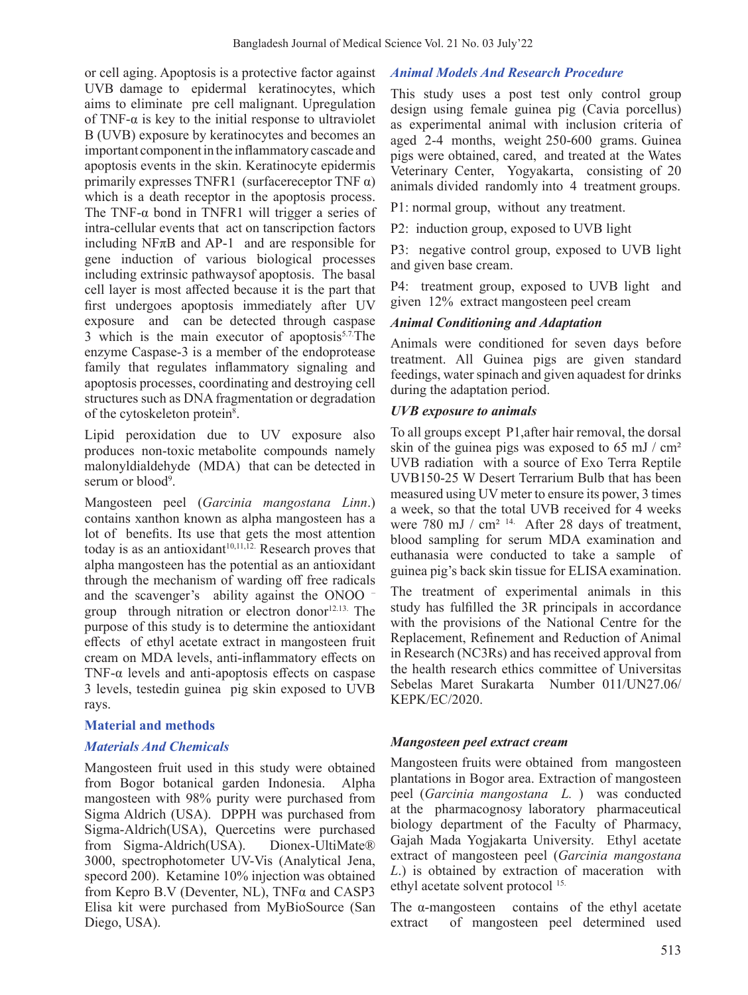or cell aging. Apoptosis is a protective factor against UVB damage to epidermal keratinocytes, which aims to eliminate pre cell malignant. Upregulation of TNF- $\alpha$  is key to the initial response to ultraviolet B (UVB) exposure by keratinocytes and becomes an important componentin the inflammatory cascade and apoptosis events in the skin. Keratinocyte epidermis primarily expresses TNFR1 (surfacereceptor TNF  $\alpha$ ) which is a death receptor in the apoptosis process. The TNF- $\alpha$  bond in TNFR1 will trigger a series of intra-cellular events that act on tanscripction factors including NF $\pi$ B and AP-1 and are responsible for gene induction of various biological processes including extrinsic pathwaysof apoptosis. The basal cell layer is most affected because it is the part that first undergoes apoptosis immediately after UV exposure and can be detected through caspase 3 which is the main executor of apoptosis $5.7$ The enzyme Caspase-3 is a member of the endoprotease family that regulates inflammatory signaling and apoptosis processes, coordinating and destroying cell structures such as DNA fragmentation or degradation of the cytoskeleton protein<sup>8</sup>.

Lipid peroxidation due to UV exposure also produces non-toxic metabolite compounds namely malonyldialdehyde (MDA) that can be detected in serum or blood<sup>9</sup>.

Mangosteen peel (*Garcinia mangostana Linn*.) contains xanthon known as alpha mangosteen has a lot of benefits. Its use that gets the most attention today is as an antioxidant<sup>10,11,12.</sup> Research proves that alpha mangosteen has the potential as an antioxidant through the mechanism of warding off free radicals and the scavenger's ability against the ONOO – group through nitration or electron donor $12.13$ . The purpose of this study is to determine the antioxidant effects of ethyl acetate extract in mangosteen fruit cream on MDA levels, anti-inflammatory effects on TNF- $\alpha$  levels and anti-apoptosis effects on caspase 3 levels, testedin guinea pig skin exposed to UVB rays.

# **Material and methods**

# *Materials And Chemicals*

Mangosteen fruit used in this study were obtained from Bogor botanical garden Indonesia. Alpha mangosteen with 98% purity were purchased from Sigma Aldrich (USA). DPPH was purchased from Sigma-Aldrich(USA), Quercetins were purchased from Sigma-Aldrich(USA). Dionex-UltiMate® 3000, spectrophotometer UV-Vis (Analytical Jena, specord 200). Ketamine 10% injection was obtained from Kepro B.V (Deventer, NL), TNFα and CASP3 Elisa kit were purchased from MyBioSource (San Diego, USA).

# *Animal Models And Research Procedure*

This study uses a post test only control group design using female guinea pig (Cavia porcellus) as experimental animal with inclusion criteria of aged 2-4 months, weight 250-600 grams. Guinea pigs were obtained, cared, and treated at the Wates Veterinary Center, Yogyakarta, consisting of 20 animals divided randomly into 4 treatment groups.

P1: normal group, without any treatment.

P2: induction group, exposed to UVB light

P3: negative control group, exposed to UVB light and given base cream.

P4: treatment group, exposed to UVB light and given 12% extract mangosteen peel cream

# *Animal Conditioning and Adaptation*

Animals were conditioned for seven days before treatment. All Guinea pigs are given standard feedings, water spinach and given aquadest for drinks during the adaptation period.

# *UVB exposure to animals*

To all groups except P1,after hair removal, the dorsal skin of the guinea pigs was exposed to  $65 \text{ mJ}$  / cm<sup>2</sup> UVB radiation with a source of Exo Terra Reptile UVB150-25 W Desert Terrarium Bulb that has been measured using UV meter to ensure its power, 3 times a week, so that the total UVB received for 4 weeks were 780 mJ / cm<sup>2 14.</sup> After 28 days of treatment, blood sampling for serum MDA examination and euthanasia were conducted to take a sample of guinea pig's back skin tissue for ELISA examination.

The treatment of experimental animals in this study has fulfilled the 3R principals in accordance with the provisions of the National Centre for the Replacement, Refinement and Reduction of Animal in Research (NC3Rs) and has received approval from the health research ethics committee of Universitas Sebelas Maret Surakarta Number 011/UN27.06/ KEPK/EC/2020.

# *Mangosteen peel extract cream*

Mangosteen fruits were obtained from mangosteen plantations in Bogor area. Extraction of mangosteen peel (*Garcinia mangostana L.* ) was conducted at the pharmacognosy laboratory pharmaceutical biology department of the Faculty of Pharmacy, Gajah Mada Yogjakarta University. Ethyl acetate extract of mangosteen peel (*Garcinia mangostana L*.) is obtained by extraction of maceration with ethyl acetate solvent protocol 15.

The α-mangosteen contains of the ethyl acetate extract of mangosteen peel determined used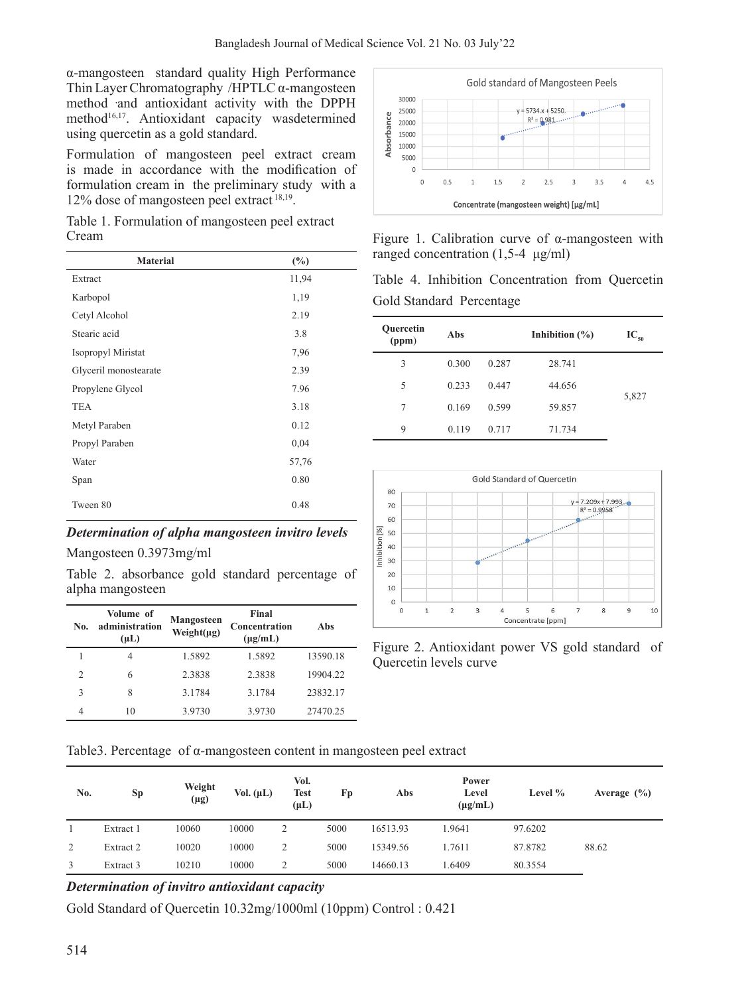α-mangosteen standard quality High Performance Thin Layer Chromatography /HPTLC α-mangosteen method and antioxidant activity with the DPPH method<sup>16,17</sup>. Antioxidant capacity wasdetermined using quercetin as a gold standard.

Formulation of mangosteen peel extract cream is made in accordance with the modification of formulation cream in the preliminary study with a 12% dose of mangosteen peel extract 18,19.

Table 1. Formulation of mangosteen peel extract Cream

| <b>Material</b>       | (%)   |
|-----------------------|-------|
| Extract               | 11,94 |
| Karbopol              | 1,19  |
| Cetyl Alcohol         | 2.19  |
| Stearic acid          | 3.8   |
| Isopropyl Miristat    | 7,96  |
| Glyceril monostearate | 2.39  |
| Propylene Glycol      | 7.96  |
| <b>TEA</b>            | 3.18  |
| Metyl Paraben         | 0.12  |
| Propyl Paraben        | 0,04  |
| Water                 | 57,76 |
| Span                  | 0.80  |
| Tween 80              | 0.48  |

# *Determination of alpha mangosteen invitro levels*

Mangosteen 0.3973mg/ml

Table 2. absorbance gold standard percentage of alpha mangosteen

| No.           | Volume of<br>administration<br>$(\mu L)$ | <b>Mangosteen</b><br>Weight $(\mu g)$ | Final<br>Concentration<br>$(\mu g/mL)$ | Abs      |
|---------------|------------------------------------------|---------------------------------------|----------------------------------------|----------|
|               | 4                                        | 1.5892                                | 1.5892                                 | 13590.18 |
| $\mathcal{D}$ | 6                                        | 2.3838                                | 2.3838                                 | 19904.22 |
| ς             | 8                                        | 3.1784                                | 3.1784                                 | 23832.17 |
| 4             | 10                                       | 3.9730                                | 3.9730                                 | 27470.25 |



Figure 1. Calibration curve of α-mangosteen with ranged concentration (1,5-4 μg/ml)

Table 4. Inhibition Concentration from Quercetin Gold Standard Percentage

| <b>Ouercetin</b><br>(ppm) | Abs   |       | Inhibition $(\% )$ | $IC_{50}$ |
|---------------------------|-------|-------|--------------------|-----------|
| 3                         | 0.300 | 0.287 | 28.741             |           |
| 5                         | 0.233 | 0.447 | 44.656             |           |
| 7                         | 0.169 | 0.599 | 59.857             | 5,827     |
| 9                         | 0.119 | 0.717 | 71.734             |           |



Figure 2. Antioxidant power VS gold standard of Quercetin levels curve

Table3. Percentage of α-mangosteen content in mangosteen peel extract

| No. | Sp        | Weight<br>$(\mu g)$ | Vol. $(\mu L)$ | Vol.<br><b>Test</b><br>$(\mu L)$ | Fp   | Abs      | Power<br>Level<br>$(\mu g/mL)$ | Level % | Average $(\% )$ |
|-----|-----------|---------------------|----------------|----------------------------------|------|----------|--------------------------------|---------|-----------------|
|     | Extract 1 | 10060               | 10000          | 2                                | 5000 | 16513.93 | 1.9641                         | 97.6202 |                 |
| 2   | Extract 2 | 10020               | 10000          | 2                                | 5000 | 15349.56 | 1.7611                         | 87.8782 | 88.62           |
| 3   | Extract 3 | 10210               | 10000          | 2                                | 5000 | 14660.13 | 1.6409                         | 80.3554 |                 |

# *Determination of invitro antioxidant capacity*

Gold Standard of Quercetin 10.32mg/1000ml (10ppm) Control : 0.421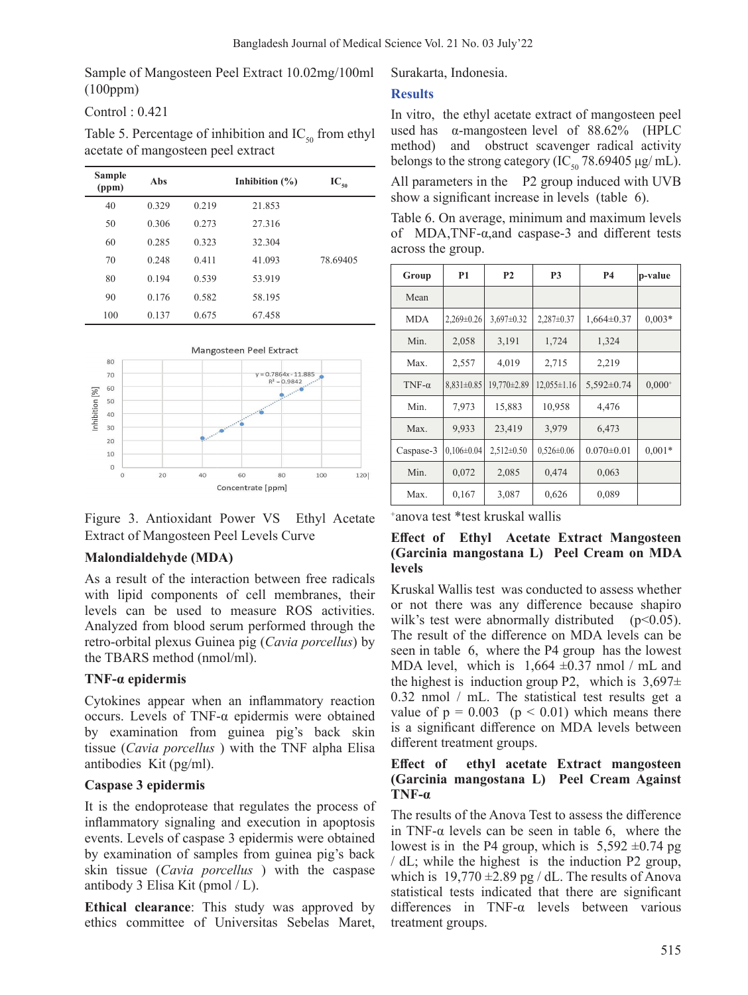Sample of Mangosteen Peel Extract 10.02mg/100ml (100ppm)

Control : 0.421

Table 5. Percentage of inhibition and  $IC_{50}$  from ethyl acetate of mangosteen peel extract

| Sample<br>(ppm) | Abs   | Inhibition $(\% )$ |        | $IC_{50}$ |
|-----------------|-------|--------------------|--------|-----------|
| 40              | 0.329 | 0.219              | 21.853 |           |
| 50              | 0.306 | 0.273              | 27.316 |           |
| 60              | 0.285 | 0.323              | 32.304 |           |
| 70              | 0.248 | 0.411              | 41.093 | 78.69405  |
| 80              | 0.194 | 0.539              | 53.919 |           |
| 90              | 0.176 | 0.582              | 58.195 |           |
| 100             | 0.137 | 0.675              | 67.458 |           |



Figure 3. Antioxidant Power VS Ethyl Acetate Extract of Mangosteen Peel Levels Curve

# **Malondialdehyde (MDA)**

As a result of the interaction between free radicals with lipid components of cell membranes, their levels can be used to measure ROS activities. Analyzed from blood serum performed through the retro-orbital plexus Guinea pig (*Cavia porcellus*) by the TBARS method (nmol/ml).

# **TNF-α epidermis**

Cytokines appear when an inflammatory reaction occurs. Levels of TNF-α epidermis were obtained by examination from guinea pig's back skin tissue (*Cavia porcellus* ) with the TNF alpha Elisa antibodies Kit (pg/ml).

# **Caspase 3 epidermis**

It is the endoprotease that regulates the process of inflammatory signaling and execution in apoptosis events. Levels of caspase 3 epidermis were obtained by examination of samples from guinea pig's back skin tissue (*Cavia porcellus* ) with the caspase antibody 3 Elisa Kit (pmol / L).

**Ethical clearance**: This study was approved by ethics committee of Universitas Sebelas Maret,

Surakarta, Indonesia.

# **Results**

In vitro, the ethyl acetate extract of mangosteen peel used has α-mangosteen level of 88.62% (HPLC method) and obstruct scavenger radical activity belongs to the strong category (IC<sub>50</sub> 78.69405 μg/ mL).

All parameters in the P2 group induced with UVB show a significant increase in levels (table 6).

Table 6. On average, minimum and maximum levels of MDA,TNF-α,and caspase-3 and different tests across the group.

| Group         | <b>P1</b>        | <b>P2</b>      | <b>P3</b>         | <b>P4</b>        | p-value     |
|---------------|------------------|----------------|-------------------|------------------|-------------|
| Mean          |                  |                |                   |                  |             |
| <b>MDA</b>    | 2,269±0.26       | 3,697±0.32     | $2,287\pm0.37$    | $1,664 \pm 0.37$ | $0.003*$    |
| Min.          | 2,058            | 3,191          | 1,724             | 1,324            |             |
| Max.          | 2,557            | 4,019          | 2,715             | 2,219            |             |
| TNF- $\alpha$ | $8,831 \pm 0.85$ | 19,770±2.89    | $12,055 \pm 1.16$ | $5,592 \pm 0.74$ | $0,000^{+}$ |
| Min.          | 7,973            | 15,883         | 10,958            | 4,476            |             |
| Max.          | 9,933            | 23,419         | 3,979             | 6,473            |             |
| Caspase-3     | $0,106 \pm 0.04$ | $2,512\pm0.50$ | $0,526 \pm 0.06$  | $0.070 \pm 0.01$ | $0.001*$    |
| Min.          | 0,072            | 2,085          | 0,474             | 0,063            |             |
| Max.          | 0,167            | 3,087          | 0,626             | 0,089            |             |

+ anova test \*test kruskal wallis

# **Effect of Ethyl Acetate Extract Mangosteen (Garcinia mangostana L) Peel Cream on MDA levels**

Kruskal Wallis test was conducted to assess whether or not there was any difference because shapiro wilk's test were abnormally distributed  $(p<0.05)$ . The result of the difference on MDA levels can be seen in table 6, where the P4 group has the lowest MDA level, which is  $1,664 \pm 0.37$  nmol / mL and the highest is induction group P2, which is  $3,697\pm$ 0.32 nmol / mL. The statistical test results get a value of  $p = 0.003$  ( $p < 0.01$ ) which means there is a significant difference on MDA levels between different treatment groups.

# **Effect of ethyl acetate Extract mangosteen (Garcinia mangostana L) Peel Cream Against TNF-α**

The results of the Anova Test to assess the difference in TNF- $\alpha$  levels can be seen in table 6, where the lowest is in the P4 group, which is  $5,592 \pm 0.74$  pg / dL; while the highest is the induction P2 group, which is  $19,770 \pm 2.89$  pg / dL. The results of Anova statistical tests indicated that there are significant differences in TNF-α levels between various treatment groups.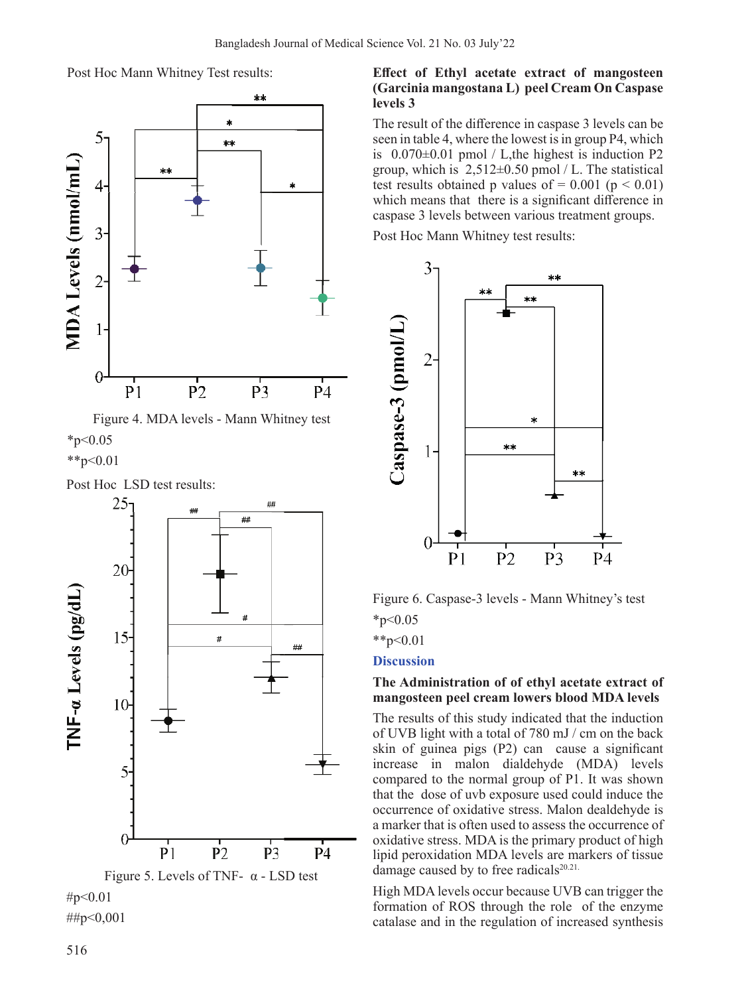Post Hoc Mann Whitney Test results:



Figure 4. MDA levels - Mann Whitney test  $*_{p<0.05}$  $*$  $p<0.01$ 

Post Hoc LSD test results:



#p<0.01

##p<0,001

### **Effect of Ethyl acetate extract of mangosteen (Garcinia mangostana L) peel Cream On Caspase levels 3**

The result of the difference in caspase 3 levels can be seen in table 4, where the lowest is in group P4, which is  $0.070\pm0.01$  pmol / L, the highest is induction P2 group, which is  $2,512\pm0.50$  pmol / L. The statistical test results obtained p values of  $= 0.001$  (p  $< 0.01$ ) which means that there is a significant difference in caspase 3 levels between various treatment groups.

Post Hoc Mann Whitney test results:



Figure 6. Caspase-3 levels - Mann Whitney's test  $*_{p<0.05}$ 

\*\*p< $0.01$ 

# **Discussion**

# **The Administration of of ethyl acetate extract of mangosteen peel cream lowers blood MDA levels**

The results of this study indicated that the induction of UVB light with a total of 780 mJ / cm on the back skin of guinea pigs (P2) can cause a significant increase in malon dialdehyde (MDA) levels compared to the normal group of P1. It was shown that the dose of uvb exposure used could induce the occurrence of oxidative stress. Malon dealdehyde is a marker that is often used to assess the occurrence of oxidative stress. MDA is the primary product of high lipid peroxidation MDA levels are markers of tissue damage caused by to free radicals<sup>20.21.</sup>

High MDA levels occur because UVB can trigger the formation of ROS through the role of the enzyme catalase and in the regulation of increased synthesis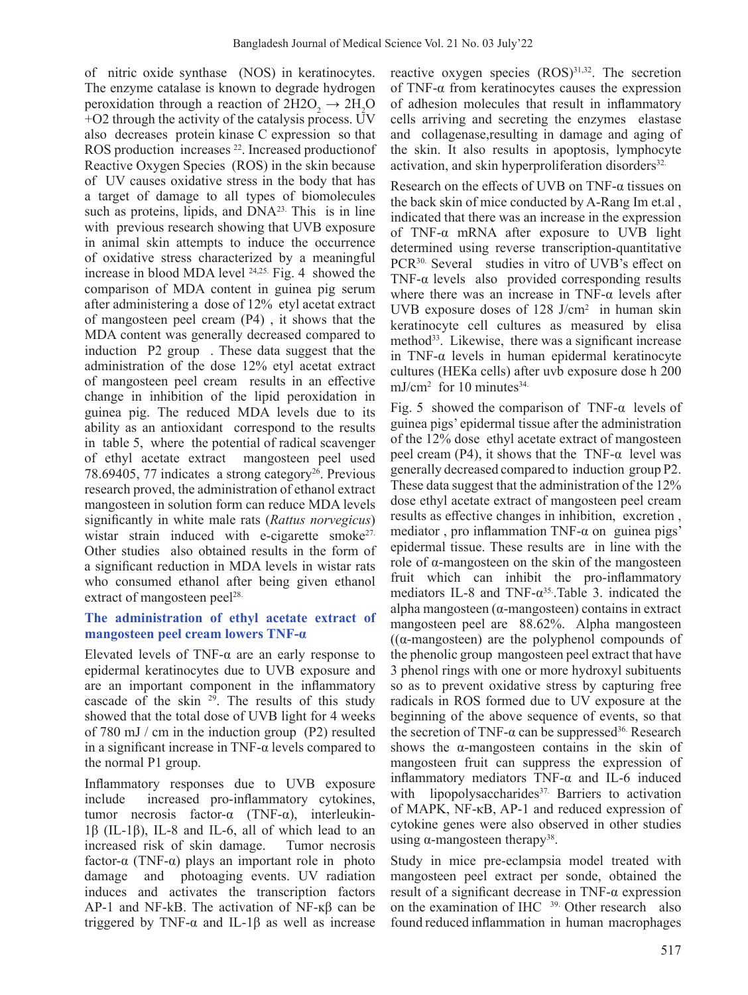of nitric oxide synthase (NOS) in keratinocytes. The enzyme catalase is known to degrade hydrogen peroxidation through a reaction of  $2H2O<sub>2</sub> \rightarrow 2H<sub>2</sub>O$ +O2 through the activity of the catalysis process. UV also decreases protein kinase C expression so that ROS production increases <sup>22</sup>. Increased productionof Reactive Oxygen Species (ROS) in the skin because of UV causes oxidative stress in the body that has a target of damage to all types of biomolecules such as proteins, lipids, and  $DNA<sup>23</sup>$ . This is in line with previous research showing that UVB exposure in animal skin attempts to induce the occurrence of oxidative stress characterized by a meaningful increase in blood MDA level 24,25. Fig. 4 showed the comparison of MDA content in guinea pig serum after administering a dose of 12% etyl acetat extract of mangosteen peel cream (P4) , it shows that the MDA content was generally decreased compared to induction P2 group . These data suggest that the administration of the dose 12% etyl acetat extract of mangosteen peel cream results in an effective change in inhibition of the lipid peroxidation in guinea pig. The reduced MDA levels due to its ability as an antioxidant correspond to the results in table 5, where the potential of radical scavenger of ethyl acetate extract mangosteen peel used 78.69405, 77 indicates a strong category<sup>26</sup>. Previous research proved, the administration of ethanol extract mangosteen in solution form can reduce MDA levels significantly in white male rats (*Rattus norvegicus*) wistar strain induced with e-cigarette smoke<sup>27.</sup> Other studies also obtained results in the form of a significant reduction in MDA levels in wistar rats who consumed ethanol after being given ethanol extract of mangosteen peel<sup>28.</sup>

### **The administration of ethyl acetate extract of mangosteen peel cream lowers TNF-α**

Elevated levels of TNF-α are an early response to epidermal keratinocytes due to UVB exposure and are an important component in the inflammatory cascade of the skin  $29$ . The results of this study showed that the total dose of UVB light for 4 weeks of 780 mJ / cm in the induction group (P2) resulted in a significant increase in TNF- $\alpha$  levels compared to the normal P1 group.

Inflammatory responses due to UVB exposure include increased pro-inflammatory cytokines, tumor necrosis factor-α (TNF-α), interleukin-1β (IL-1β), IL-8 and IL-6, all of which lead to an increased risk of skin damage. Tumor necrosis factor-α (TNF-α) plays an important role in photo damage and photoaging events. UV radiation induces and activates the transcription factors AP-1 and NF-kB. The activation of NF-ĸβ can be triggered by TNF- $\alpha$  and IL-1β as well as increase

reactive oxygen species (ROS)<sup>31,32</sup>. The secretion of TNF-α from keratinocytes causes the expression of adhesion molecules that result in inflammatory cells arriving and secreting the enzymes elastase and collagenase,resulting in damage and aging of the skin. It also results in apoptosis, lymphocyte activation, and skin hyperproliferation disorders<sup>32.</sup>

Research on the effects of UVB on TNF- $\alpha$  tissues on the back skin of mice conducted by A-Rang Im et.al , indicated that there was an increase in the expression of TNF-α mRNA after exposure to UVB light determined using reverse transcription-quantitative PCR30. Several studies in vitro of UVB's effect on TNF- $\alpha$  levels also provided corresponding results where there was an increase in  $TNF-\alpha$  levels after UVB exposure doses of 128 J/cm<sup>2</sup> in human skin keratinocyte cell cultures as measured by elisa method<sup>33</sup>. Likewise, there was a significant increase in TNF-α levels in human epidermal keratinocyte cultures (HEKa cells) after uvb exposure dose h 200  $mJ/cm<sup>2</sup>$  for 10 minutes<sup>34.</sup>

Fig. 5 showed the comparison of TNF- $\alpha$  levels of guinea pigs' epidermal tissue after the administration of the 12% dose ethyl acetate extract of mangosteen peel cream (P4), it shows that the TNF- $\alpha$  level was generally decreased compared to induction group P2. These data suggest that the administration of the 12% dose ethyl acetate extract of mangosteen peel cream results as effective changes in inhibition, excretion , mediator, pro inflammation TNF- $\alpha$  on guinea pigs' epidermal tissue. These results are in line with the role of α-mangosteen on the skin of the mangosteen fruit which can inhibit the pro-inflammatory mediators IL-8 and TNF- $\alpha^{35}$ .Table 3. indicated the alpha mangosteen (α-mangosteen) contains in extract mangosteen peel are 88.62%. Alpha mangosteen  $((\alpha$ -mangosteen) are the polyphenol compounds of the phenolic group mangosteen peel extract that have 3 phenol rings with one or more hydroxyl subituents so as to prevent oxidative stress by capturing free radicals in ROS formed due to UV exposure at the beginning of the above sequence of events, so that the secretion of TNF-α can be suppressed<sup>36.</sup> Research shows the α-mangosteen contains in the skin of mangosteen fruit can suppress the expression of inflammatory mediators TNF-α and IL-6 induced with lipopolysaccharides<sup>37</sup> Barriers to activation of MAPK, NF-κB, AP-1 and reduced expression of cytokine genes were also observed in other studies using α-mangosteen therapy<sup>38</sup>.

Study in mice pre-eclampsia model treated with mangosteen peel extract per sonde, obtained the result of a significant decrease in TNF-α expression on the examination of IHC <sup>39.</sup> Other research also found reduced inflammation in human macrophages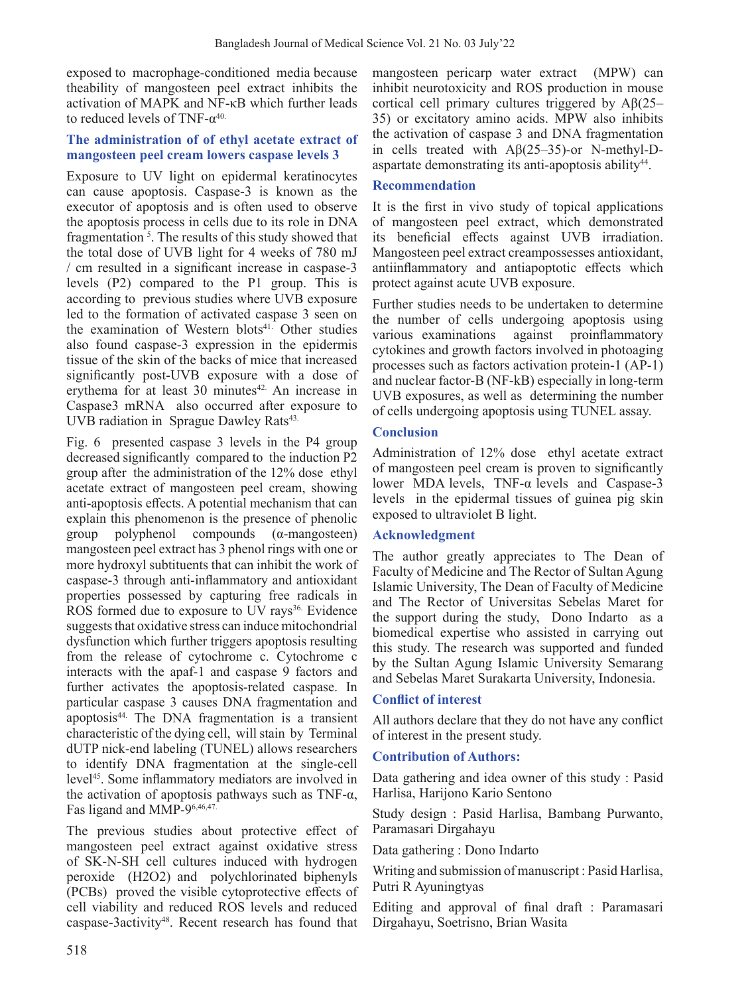exposed to macrophage-conditioned media because theability of mangosteen peel extract inhibits the activation of MAPK and NF-κB which further leads to reduced levels of TNF- $\alpha^{40}$ .

# **The administration of of ethyl acetate extract of mangosteen peel cream lowers caspase levels 3**

Exposure to UV light on epidermal keratinocytes can cause apoptosis. Caspase-3 is known as the executor of apoptosis and is often used to observe the apoptosis process in cells due to its role in DNA fragmentation<sup>5</sup>. The results of this study showed that the total dose of UVB light for 4 weeks of 780 mJ / cm resulted in a significant increase in caspase-3 levels (P2) compared to the P1 group. This is according to previous studies where UVB exposure led to the formation of activated caspase 3 seen on the examination of Western blots<sup>41.</sup> Other studies also found caspase-3 expression in the epidermis tissue of the skin of the backs of mice that increased significantly post-UVB exposure with a dose of erythema for at least  $30$  minutes<sup>42.</sup> An increase in Caspase3 mRNA also occurred after exposure to UVB radiation in Sprague Dawley Rats<sup>43.</sup>

Fig. 6 presented caspase 3 levels in the P4 group decreased significantly compared to the induction P2 group after the administration of the 12% dose ethyl acetate extract of mangosteen peel cream, showing anti-apoptosis effects. A potential mechanism that can explain this phenomenon is the presence of phenolic group polyphenol compounds (α-mangosteen) mangosteen peel extract has 3 phenol rings with one or more hydroxyl subtituents that can inhibit the work of caspase-3 through anti-inflammatory and antioxidant properties possessed by capturing free radicals in ROS formed due to exposure to UV rays<sup>36.</sup> Evidence suggests that oxidative stress can induce mitochondrial dysfunction which further triggers apoptosis resulting from the release of cytochrome c. Cytochrome c interacts with the apaf-1 and caspase 9 factors and further activates the apoptosis-related caspase. In particular caspase 3 causes DNA fragmentation and apoptosis44. The DNA fragmentation is a transient characteristic of the dying cell, will stain by Terminal dUTP nick-end labeling (TUNEL) allows researchers to identify DNA fragmentation at the single-cell level45. Some inflammatory mediators are involved in the activation of apoptosis pathways such as TNF-α, Fas ligand and MMP-96,46,47.

The previous studies about protective effect of mangosteen peel extract against oxidative stress of SK-N-SH cell cultures induced with hydrogen peroxide (H2O2) and polychlorinated biphenyls (PCBs) proved the visible cytoprotective effects of cell viability and reduced ROS levels and reduced caspase-3activity48. Recent research has found that

mangosteen pericarp water extract (MPW) can inhibit neurotoxicity and ROS production in mouse cortical cell primary cultures triggered by  $A\beta(25-$ 35) or excitatory amino acids. MPW also inhibits the activation of caspase 3 and DNA fragmentation in cells treated with Aβ(25–35)-or N-methyl-Daspartate demonstrating its anti-apoptosis ability<sup>44</sup>.

# **Recommendation**

It is the first in vivo study of topical applications of mangosteen peel extract, which demonstrated its beneficial effects against UVB irradiation. Mangosteen peel extract creampossesses antioxidant, antiinflammatory and antiapoptotic effects which protect against acute UVB exposure.

Further studies needs to be undertaken to determine the number of cells undergoing apoptosis using various examinations against proinflammatory cytokines and growth factors involved in photoaging processes such as factors activation protein-1 (AP-1) and nuclear factor-B (NF-kB) especially in long-term UVB exposures, as well as determining the number of cells undergoing apoptosis using TUNEL assay.

# **Conclusion**

Administration of 12% dose ethyl acetate extract of mangosteen peel cream is proven to significantly lower MDA levels, TNF-α levels and Caspase-3 levels in the epidermal tissues of guinea pig skin exposed to ultraviolet B light.

# **Acknowledgment**

The author greatly appreciates to The Dean of Faculty of Medicine and The Rector of Sultan Agung Islamic University, The Dean of Faculty of Medicine and The Rector of Universitas Sebelas Maret for the support during the study, Dono Indarto as a biomedical expertise who assisted in carrying out this study. The research was supported and funded by the Sultan Agung Islamic University Semarang and Sebelas Maret Surakarta University, Indonesia.

# **Conflict of interest**

All authors declare that they do not have any conflict of interest in the present study.

# **Contribution of Authors:**

Data gathering and idea owner of this study : Pasid Harlisa, Harijono Kario Sentono

Study design : Pasid Harlisa, Bambang Purwanto, Paramasari Dirgahayu

Data gathering : Dono Indarto

Writing and submission of manuscript : Pasid Harlisa, Putri R Ayuningtyas

Editing and approval of final draft : Paramasari Dirgahayu, Soetrisno, Brian Wasita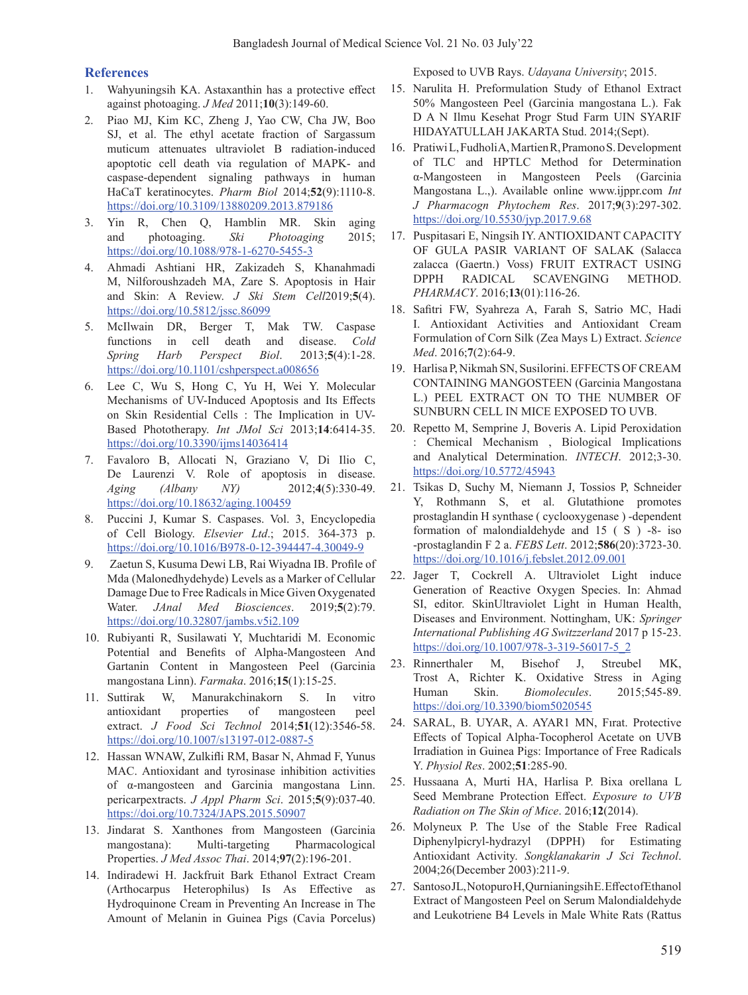#### **References**

- 1. Wahyuningsih KA. Astaxanthin has a protective effect against photoaging. *J Med* 2011;**10**(3):149-60.
- 2. Piao MJ, Kim KC, Zheng J, Yao CW, Cha JW, Boo SJ, et al. The ethyl acetate fraction of Sargassum muticum attenuates ultraviolet B radiation-induced apoptotic cell death via regulation of MAPK- and caspase-dependent signaling pathways in human HaCaT keratinocytes. *Pharm Biol* 2014;**52**(9):1110-8. https://doi.org/10.3109/13880209.2013.879186
- 3. Yin R, Chen Q, Hamblin MR. Skin aging and photoaging. *Ski Photoaging* 2015; https://doi.org/10.1088/978-1-6270-5455-3
- 4. Ahmadi Ashtiani HR, Zakizadeh S, Khanahmadi M, Nilforoushzadeh MA, Zare S. Apoptosis in Hair and Skin: A Review. *J Ski Stem Cell*2019;**5**(4). https://doi.org/10.5812/jssc.86099
- 5. McIlwain DR, Berger T, Mak TW. Caspase functions in cell death and disease. *Cold Spring Harb Perspect Biol*. 2013;**5**(4):1-28. https://doi.org/10.1101/cshperspect.a008656
- 6. Lee C, Wu S, Hong C, Yu H, Wei Y. Molecular Mechanisms of UV-Induced Apoptosis and Its Effects on Skin Residential Cells : The Implication in UV-Based Phototherapy. *Int JMol Sci* 2013;**14**:6414-35. https://doi.org/10.3390/ijms14036414
- 7. Favaloro B, Allocati N, Graziano V, Di Ilio C, De Laurenzi V. Role of apoptosis in disease. *Aging (Albany NY)* 2012;**4**(5):330-49. https://doi.org/10.18632/aging.100459
- 8. Puccini J, Kumar S. Caspases. Vol. 3, Encyclopedia of Cell Biology. *Elsevier Ltd*.; 2015. 364-373 p. https://doi.org/10.1016/B978-0-12-394447-4.30049-9
- 9. Zaetun S, Kusuma Dewi LB, Rai Wiyadna IB. Profile of Mda (Malonedhydehyde) Levels as a Marker of Cellular Damage Due to Free Radicals in Mice Given Oxygenated Water. *JAnal Med Biosciences*. 2019;**5**(2):79. https://doi.org/10.32807/jambs.v5i2.109
- 10. Rubiyanti R, Susilawati Y, Muchtaridi M. Economic Potential and Benefits of Alpha-Mangosteen And Gartanin Content in Mangosteen Peel (Garcinia mangostana Linn). *Farmaka*. 2016;**15**(1):15-25.
- 11. Suttirak W, Manurakchinakorn S. In vitro antioxidant properties of mangosteen peel extract. *J Food Sci Technol* 2014;**51**(12):3546-58. https://doi.org/10.1007/s13197-012-0887-5
- 12. Hassan WNAW, Zulkifli RM, Basar N, Ahmad F, Yunus MAC. Antioxidant and tyrosinase inhibition activities of α-mangosteen and Garcinia mangostana Linn. pericarpextracts. *J Appl Pharm Sci*. 2015;**5**(9):037-40. https://doi.org/10.7324/JAPS.2015.50907
- 13. Jindarat S. Xanthones from Mangosteen (Garcinia mangostana): Multi-targeting Pharmacological Properties. *J Med Assoc Thai*. 2014;**97**(2):196-201.
- 14. Indiradewi H. Jackfruit Bark Ethanol Extract Cream (Arthocarpus Heterophilus) Is As Effective as Hydroquinone Cream in Preventing An Increase in The Amount of Melanin in Guinea Pigs (Cavia Porcelus)

Exposed to UVB Rays. *Udayana University*; 2015.

- 15. Narulita H. Preformulation Study of Ethanol Extract 50% Mangosteen Peel (Garcinia mangostana L.). Fak D A N Ilmu Kesehat Progr Stud Farm UIN SYARIF HIDAYATULLAH JAKARTA Stud. 2014;(Sept).
- 16. Pratiwi L, Fudholi A, Martien R, Pramono S. Development of TLC and HPTLC Method for Determination α-Mangosteen in Mangosteen Peels (Garcinia Mangostana L.,). Available online www.ijppr.com *Int J Pharmacogn Phytochem Res*. 2017;**9**(3):297-302. https://doi.org/10.5530/jyp.2017.9.68
- 17. Puspitasari E, Ningsih IY. ANTIOXIDANT CAPACITY OF GULA PASIR VARIANT OF SALAK (Salacca zalacca (Gaertn.) Voss) FRUIT EXTRACT USING DPPH RADICAL SCAVENGING METHOD. *PHARMACY*. 2016;**13**(01):116-26.
- 18. Safitri FW, Syahreza A, Farah S, Satrio MC, Hadi I. Antioxidant Activities and Antioxidant Cream Formulation of Corn Silk (Zea Mays L) Extract. *Science Med*. 2016;**7**(2):64-9.
- 19. Harlisa P,Nikmah SN, Susilorini.EFFECTSOFCREAM CONTAINING MANGOSTEEN (Garcinia Mangostana L.) PEEL EXTRACT ON TO THE NUMBER OF SUNBURN CELL IN MICE EXPOSED TO UVB.
- 20. Repetto M, Semprine J, Boveris A. Lipid Peroxidation : Chemical Mechanism , Biological Implications and Analytical Determination. *INTECH*. 2012;3-30. https://doi.org/10.5772/45943
- 21. Tsikas D, Suchy M, Niemann J, Tossios P, Schneider Y, Rothmann S, et al. Glutathione promotes prostaglandin H synthase ( cyclooxygenase ) -dependent formation of malondialdehyde and 15 ( S ) -8- iso -prostaglandin F 2 a. *FEBS Lett*. 2012;**586**(20):3723-30. https://doi.org/10.1016/j.febslet.2012.09.001
- 22. Jager T, Cockrell A. Ultraviolet Light induce Generation of Reactive Oxygen Species. In: Ahmad SI, editor. SkinUltraviolet Light in Human Health, Diseases and Environment. Nottingham, UK: *Springer International Publishing AG Switzzerland* 2017 p 15-23. https://doi.org/10.1007/978-3-319-56017-5\_2
- 23. Rinnerthaler M, Bisehof J, Streubel MK, Trost A, Richter K. Oxidative Stress in Aging Human Skin. *Biomolecules*. 2015;545-89. https://doi.org/10.3390/biom5020545
- 24. SARAL, B. UYAR, A. AYAR1 MN, Fırat. Protective Effects of Topical Alpha-Tocopherol Acetate on UVB Irradiation in Guinea Pigs: Importance of Free Radicals Y. *Physiol Res*. 2002;**51**:285-90.
- 25. Hussaana A, Murti HA, Harlisa P. Bixa orellana L Seed Membrane Protection Effect. *Exposure to UVB Radiation on The Skin of Mice*. 2016;**12**(2014).
- 26. Molyneux P. The Use of the Stable Free Radical Diphenylpicryl-hydrazyl (DPPH) for Estimating Antioxidant Activity. *Songklanakarin J Sci Technol*. 2004;26(December 2003):211-9.
- 27. SantosoJL,NotopuroH,QurnianingsihE.EffectofEthanol Extract of Mangosteen Peel on Serum Malondialdehyde and Leukotriene B4 Levels in Male White Rats (Rattus